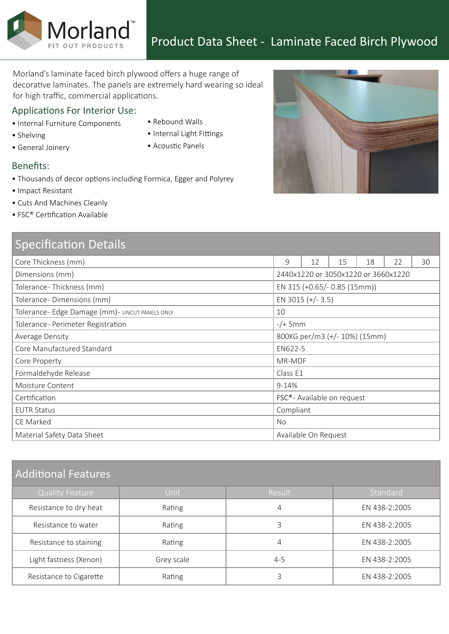Morland's laminate faced birch plywood offers a huge range of decorative laminates. The panels are extremely hard wearing so ideal for high traffic, commercial applications.

### Applications For Interior Use:

Morland<sup>®</sup>

- Internal Furniture Components
- Shelving
- General Joinery
- Rebound Walls
- Internal Light Fittings
- Acoustic Panels

#### Benefits:

- Thousands of decor options including Formica, Egger and Polyrey
- Impact Resistant
- Cuts And Machines Cleanly
- FSC® Certification Available

| <b>Specification Details</b>                    |                                         |                      |    |    |    |    |
|-------------------------------------------------|-----------------------------------------|----------------------|----|----|----|----|
| Core Thickness (mm)                             | 9                                       | 12                   | 15 | 18 | 22 | 30 |
| Dimensions (mm)                                 | 2440x1220 or 3050x1220 or 3660x1220     |                      |    |    |    |    |
| Tolerance-Thickness (mm)                        | EN 315 (+0.65/- 0.85 (15mm))            |                      |    |    |    |    |
| Tolerance-Dimensions (mm)                       | EN 3015 (+/-3.5)                        |                      |    |    |    |    |
| Tolerance- Edge Damage (mm) - UNCUT PANELS ONLY | 10                                      |                      |    |    |    |    |
| Tolerance- Perimeter Registration               | $-/+$ 5mm                               |                      |    |    |    |    |
| Average Density                                 | 800KG per/m3 (+/- 10%) (15mm)           |                      |    |    |    |    |
| Core Manufactured Standard                      | EN622-5                                 |                      |    |    |    |    |
| Core Property                                   | MR-MDF                                  |                      |    |    |    |    |
| Formaldehyde Release                            | Class E1                                |                      |    |    |    |    |
| Moisture Content                                | $9 - 14%$                               |                      |    |    |    |    |
| Certification                                   | FSC <sup>®</sup> - Available on request |                      |    |    |    |    |
| <b>EUTR Status</b>                              | Compliant                               |                      |    |    |    |    |
| CE Marked                                       | No.                                     |                      |    |    |    |    |
| Material Safety Data Sheet                      |                                         | Available On Request |    |    |    |    |

# Additional Features

| <b>Quality Feature</b>  | Unit       | Result  | Standard      |  |
|-------------------------|------------|---------|---------------|--|
| Resistance to dry heat  | Rating     | 4       | EN 438-2:2005 |  |
| Resistance to water     | Rating     |         | EN 438-2:2005 |  |
| Resistance to staining  | Rating     | 4       | EN 438-2:2005 |  |
| Light fastness (Xenon)  | Grey scale | $4 - 5$ | EN 438-2:2005 |  |
| Resistance to Cigarette | Rating     |         | EN 438-2:2005 |  |